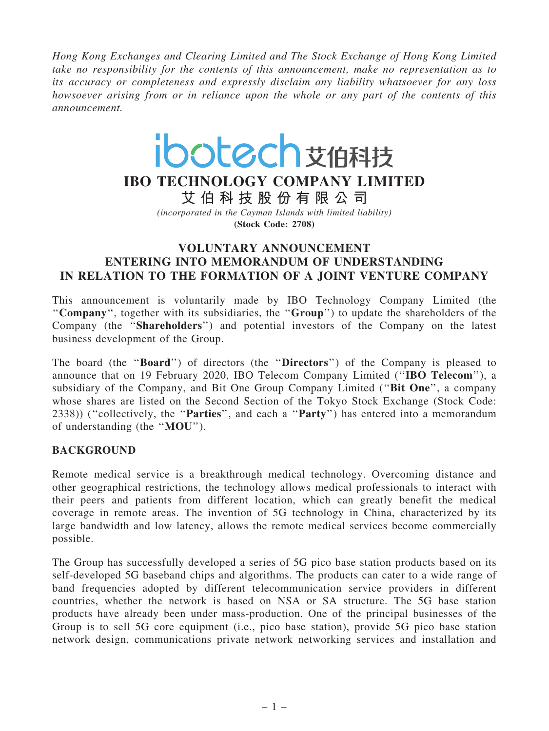Hong Kong Exchanges and Clearing Limited and The Stock Exchange of Hong Kong Limited take no responsibility for the contents of this announcement, make no representation as to its accuracy or completeness and expressly disclaim any liability whatsoever for any loss howsoever arising from or in reliance upon the whole or any part of the contents of this announcement.

# ibotech艾伯科技

## IBO TECHNOLOGY COMPANY LIMITED

艾 伯 科 技 股 份 有 限 公 司 (incorporated in the Cayman Islands with limited liability)

(Stock Code: 2708)

### VOLUNTARY ANNOUNCEMENT ENTERING INTO MEMORANDUM OF UNDERSTANDING IN RELATION TO THE FORMATION OF A JOINT VENTURE COMPANY

This announcement is voluntarily made by IBO Technology Company Limited (the ''Company'', together with its subsidiaries, the ''Group'') to update the shareholders of the Company (the ''Shareholders'') and potential investors of the Company on the latest business development of the Group.

The board (the ''Board'') of directors (the ''Directors'') of the Company is pleased to announce that on 19 February 2020, IBO Telecom Company Limited (''IBO Telecom''), a subsidiary of the Company, and Bit One Group Company Limited (''Bit One'', a company whose shares are listed on the Second Section of the Tokyo Stock Exchange (Stock Code: 2338)) (''collectively, the ''Parties'', and each a ''Party'') has entered into a memorandum of understanding (the ''MOU'').

#### BACKGROUND

Remote medical service is a breakthrough medical technology. Overcoming distance and other geographical restrictions, the technology allows medical professionals to interact with their peers and patients from different location, which can greatly benefit the medical coverage in remote areas. The invention of 5G technology in China, characterized by its large bandwidth and low latency, allows the remote medical services become commercially possible.

The Group has successfully developed a series of 5G pico base station products based on its self-developed 5G baseband chips and algorithms. The products can cater to a wide range of band frequencies adopted by different telecommunication service providers in different countries, whether the network is based on NSA or SA structure. The 5G base station products have already been under mass-production. One of the principal businesses of the Group is to sell 5G core equipment (i.e., pico base station), provide 5G pico base station network design, communications private network networking services and installation and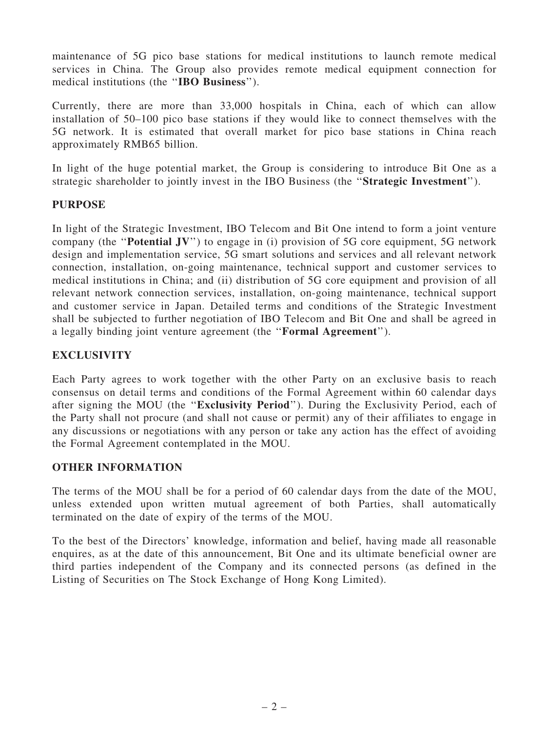maintenance of 5G pico base stations for medical institutions to launch remote medical services in China. The Group also provides remote medical equipment connection for medical institutions (the ''IBO Business'').

Currently, there are more than 33,000 hospitals in China, each of which can allow installation of 50–100 pico base stations if they would like to connect themselves with the 5G network. It is estimated that overall market for pico base stations in China reach approximately RMB65 billion.

In light of the huge potential market, the Group is considering to introduce Bit One as a strategic shareholder to jointly invest in the IBO Business (the ''Strategic Investment'').

#### PURPOSE

In light of the Strategic Investment, IBO Telecom and Bit One intend to form a joint venture company (the ''Potential JV'') to engage in (i) provision of 5G core equipment, 5G network design and implementation service, 5G smart solutions and services and all relevant network connection, installation, on-going maintenance, technical support and customer services to medical institutions in China; and (ii) distribution of 5G core equipment and provision of all relevant network connection services, installation, on-going maintenance, technical support and customer service in Japan. Detailed terms and conditions of the Strategic Investment shall be subjected to further negotiation of IBO Telecom and Bit One and shall be agreed in a legally binding joint venture agreement (the ''Formal Agreement'').

#### EXCLUSIVITY

Each Party agrees to work together with the other Party on an exclusive basis to reach consensus on detail terms and conditions of the Formal Agreement within 60 calendar days after signing the MOU (the ''Exclusivity Period''). During the Exclusivity Period, each of the Party shall not procure (and shall not cause or permit) any of their affiliates to engage in any discussions or negotiations with any person or take any action has the effect of avoiding the Formal Agreement contemplated in the MOU.

#### OTHER INFORMATION

The terms of the MOU shall be for a period of 60 calendar days from the date of the MOU, unless extended upon written mutual agreement of both Parties, shall automatically terminated on the date of expiry of the terms of the MOU.

To the best of the Directors' knowledge, information and belief, having made all reasonable enquires, as at the date of this announcement, Bit One and its ultimate beneficial owner are third parties independent of the Company and its connected persons (as defined in the Listing of Securities on The Stock Exchange of Hong Kong Limited).